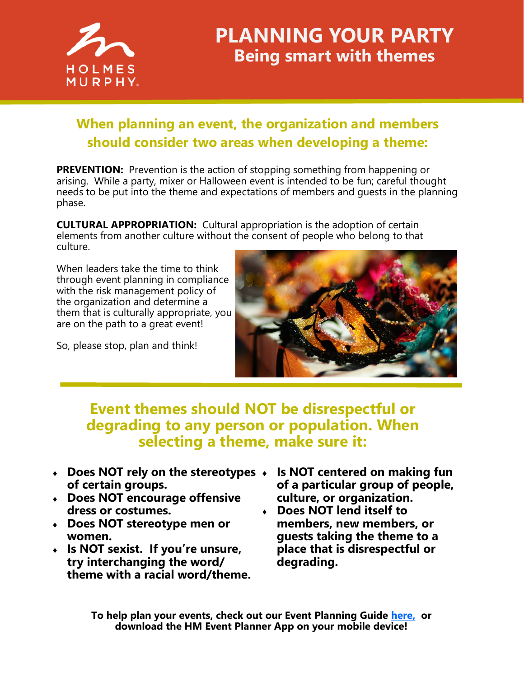

## **PLANNING YOUR PARTY Being smart with themes**

## **When planning an event, the organization and members should consider two areas when developing a theme:**

**PREVENTION:** Prevention is the action of stopping something from happening or arising. While a party, mixer or Halloween event is intended to be fun; careful thought needs to be put into the theme and expectations of members and guests in the planning phase.

**CULTURAL APPROPRIATION:** Cultural appropriation is the adoption of certain elements from another culture without the consent of people who belong to that culture.

When leaders take the time to think through event planning in compliance with the risk management policy of the organization and determine a them that is culturally appropriate, you are on the path to a great event!

So, please stop, plan and think!



## **Event themes should NOT be disrespectful or degrading to any person or population. When selecting a theme, make sure it:**

- **Does NOT rely on the stereotypes of certain groups.**
- **Does NOT encourage offensive dress or costumes.**
- **Does NOT stereotype men or women.**
- **Is NOT sexist. If you're unsure, try interchanging the word/ theme with a racial word/theme.**
- **Is NOT centered on making fun of a particular group of people, culture, or organization.**
- **Does NOT lend itself to members, new members, or guests taking the theme to a place that is disrespectful or degrading.**

**To help plan your events, check out our Event Planning Guide [here,](https://www.holmesmurphy.com/fraternal/wp-content/uploads/sites/2/2019/10/Event-Planning-Guide-Updated.pdf) or download the HM Event Planner App on your mobile device!**